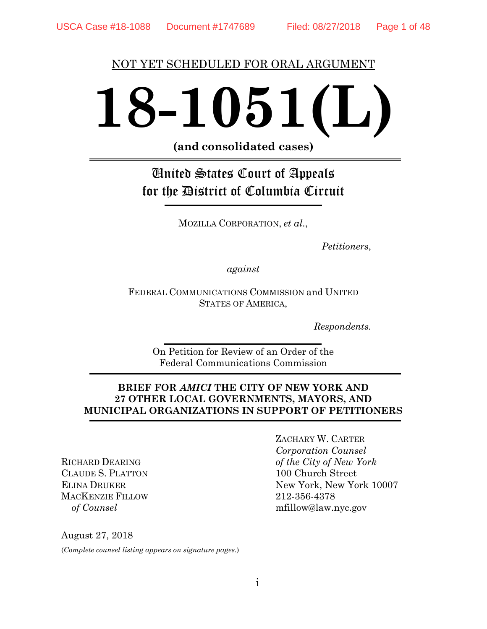#### NOT YET SCHEDULED FOR ORAL ARGUMENT

# **18-1051(L)**

**(and consolidated cases)**

# United States Court of Appeals for the District of Columbia Circuit

MOZILLA CORPORATION, *et al*.,

*Petitioners*,

*against*

FEDERAL COMMUNICATIONS COMMISSION and UNITED STATES OF AMERICA,

*Respondents.*

On Petition for Review of an Order of the Federal Communications Commission

#### **BRIEF FOR** *AMICI* **THE CITY OF NEW YORK AND 27 OTHER LOCAL GOVERNMENTS, MAYORS, AND MUNICIPAL ORGANIZATIONS IN SUPPORT OF PETITIONERS**

RICHARD DEARING CLAUDE S. PLATTON ELINA DRUKER MACKENZIE FILLOW *of Counsel*

ZACHARY W. CARTER *Corporation Counsel of the City of New York* 100 Church Street New York, New York 10007 212-356-4378 mfillow@law.nyc.gov

August 27, 2018

(*Complete counsel listing appears on signature pages.*)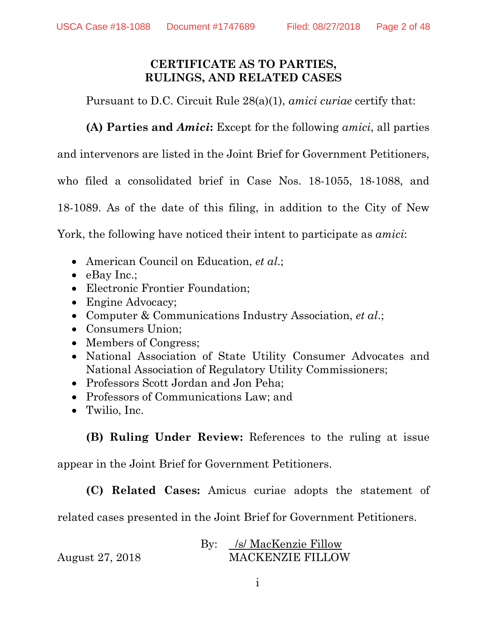## **CERTIFICATE AS TO PARTIES, RULINGS, AND RELATED CASES**

Pursuant to D.C. Circuit Rule 28(a)(1), *amici curiae* certify that:

**(A) Parties and** *Amici***:** Except for the following *amici*, all parties

and intervenors are listed in the Joint Brief for Government Petitioners,

who filed a consolidated brief in Case Nos. 18-1055, 18-1088, and

18-1089. As of the date of this filing, in addition to the City of New

York, the following have noticed their intent to participate as *amici*:

- American Council on Education, *et al*.;
- eBay Inc.;
- Electronic Frontier Foundation;
- Engine Advocacy;
- Computer & Communications Industry Association, *et al*.;
- Consumers Union;
- Members of Congress;
- National Association of State Utility Consumer Advocates and National Association of Regulatory Utility Commissioners;
- Professors Scott Jordan and Jon Peha:
- Professors of Communications Law; and
- Twilio, Inc.

**(B) Ruling Under Review:** References to the ruling at issue

appear in the Joint Brief for Government Petitioners.

**(C) Related Cases:** Amicus curiae adopts the statement of

related cases presented in the Joint Brief for Government Petitioners.

|                 | By: /s/ MacKenzie Fillow |
|-----------------|--------------------------|
| August 27, 2018 | <b>MACKENZIE FILLOW</b>  |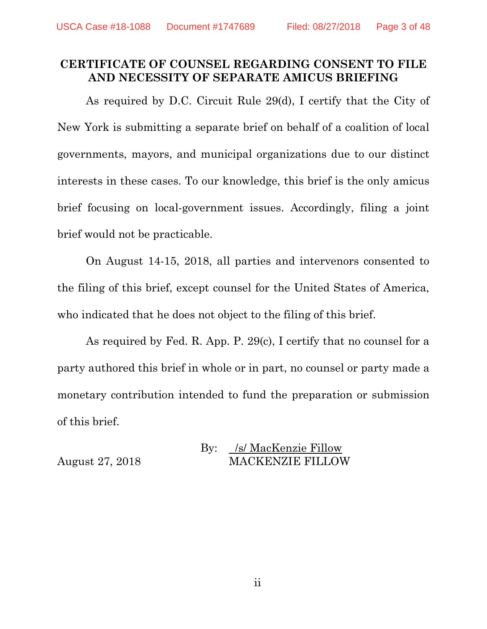## **CERTIFICATE OF COUNSEL REGARDING CONSENT TO FILE AND NECESSITY OF SEPARATE AMICUS BRIEFING**

As required by D.C. Circuit Rule 29(d), I certify that the City of New York is submitting a separate brief on behalf of a coalition of local governments, mayors, and municipal organizations due to our distinct interests in these cases. To our knowledge, this brief is the only amicus brief focusing on local-government issues. Accordingly, filing a joint brief would not be practicable.

On August 14-15, 2018, all parties and intervenors consented to the filing of this brief, except counsel for the United States of America, who indicated that he does not object to the filing of this brief.

As required by Fed. R. App. P. 29(c), I certify that no counsel for a party authored this brief in whole or in part, no counsel or party made a monetary contribution intended to fund the preparation or submission of this brief.

#### By: *Isl* MacKenzie Fillow August 27, 2018 MACKENZIE FILLOW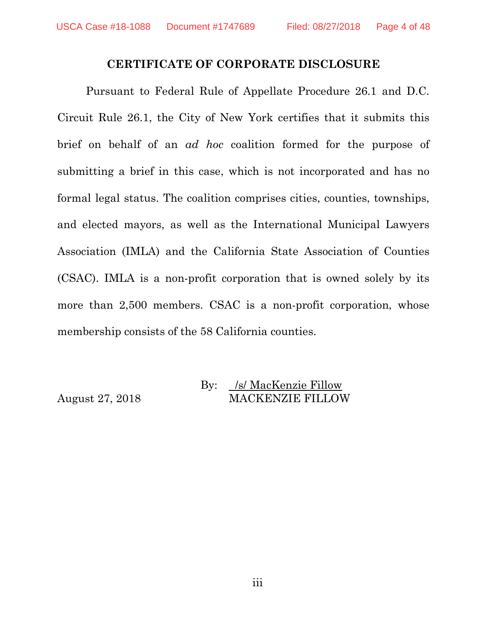#### **CERTIFICATE OF CORPORATE DISCLOSURE**

Pursuant to Federal Rule of Appellate Procedure 26.1 and D.C. Circuit Rule 26.1, the City of New York certifies that it submits this brief on behalf of an *ad hoc* coalition formed for the purpose of submitting a brief in this case, which is not incorporated and has no formal legal status. The coalition comprises cities, counties, townships, and elected mayors, as well as the International Municipal Lawyers Association (IMLA) and the California State Association of Counties (CSAC). IMLA is a non-profit corporation that is owned solely by its more than 2,500 members. CSAC is a non-profit corporation, whose membership consists of the 58 California counties.

#### By: /s/ MacKenzie Fillow August 27, 2018 MACKENZIE FILLOW

iii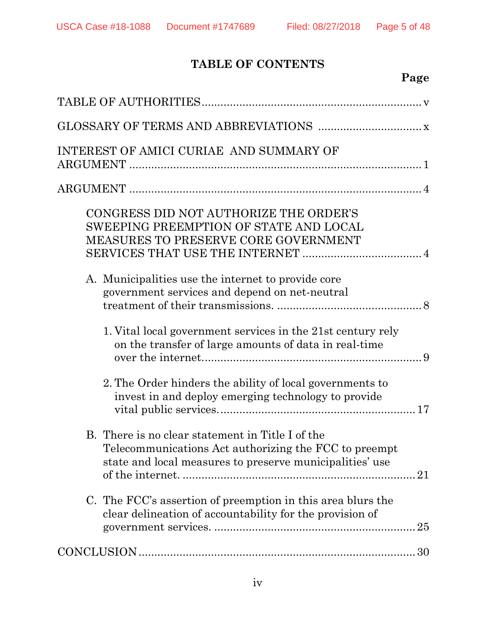# **TABLE OF CONTENTS**

# **Page**

| INTEREST OF AMICI CURIAE AND SUMMARY OF                                                                                                                               |
|-----------------------------------------------------------------------------------------------------------------------------------------------------------------------|
|                                                                                                                                                                       |
| CONGRESS DID NOT AUTHORIZE THE ORDER'S<br>SWEEPING PREEMPTION OF STATE AND LOCAL<br>MEASURES TO PRESERVE CORE GOVERNMENT                                              |
| A. Municipalities use the internet to provide core<br>government services and depend on net-neutral                                                                   |
| 1. Vital local government services in the 21st century rely<br>on the transfer of large amounts of data in real-time                                                  |
| 2. The Order hinders the ability of local governments to<br>invest in and deploy emerging technology to provide                                                       |
| B. There is no clear statement in Title I of the<br>Telecommunications Act authorizing the FCC to preempt<br>state and local measures to preserve municipalities' use |
| C. The FCC's assertion of preemption in this area blurs the<br>clear delineation of accountability for the provision of                                               |
|                                                                                                                                                                       |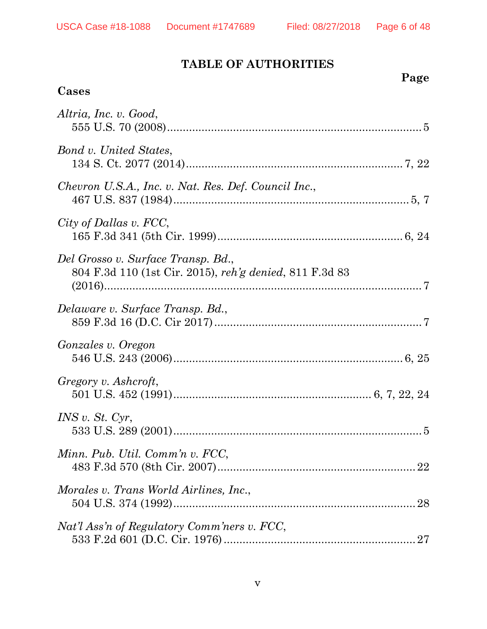**Cases**

# **TABLE OF AUTHORITIES**

# **Page**

| Altria, Inc. v. Good,                                                                         |
|-----------------------------------------------------------------------------------------------|
| Bond v. United States,                                                                        |
| Chevron U.S.A., Inc. v. Nat. Res. Def. Council Inc.,                                          |
| City of Dallas v. FCC,                                                                        |
| Del Grosso v. Surface Transp. Bd.,<br>804 F.3d 110 (1st Cir. 2015), reh'g denied, 811 F.3d 83 |
| Delaware v. Surface Transp. Bd.,                                                              |
| <i>Gonzales v. Oregon</i>                                                                     |
| Gregory v. Ashcroft,                                                                          |
| INS v. St. Cyr,                                                                               |
| Minn. Pub. Util. Comm'n v. FCC,                                                               |
| Morales v. Trans World Airlines, Inc.,                                                        |
| Nat'l Ass'n of Regulatory Comm'ners v. FCC,                                                   |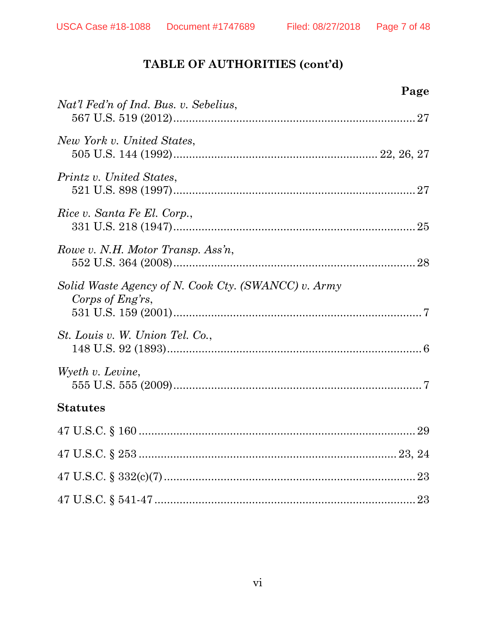|                                                                         | Page |
|-------------------------------------------------------------------------|------|
| Nat'l Fed'n of Ind. Bus. v. Sebelius,                                   |      |
| New York v. United States,                                              |      |
| Printz v. United States,                                                |      |
| Rice v. Santa Fe El. Corp.,                                             |      |
| Rowe v. N.H. Motor Transp. Ass'n,                                       |      |
| Solid Waste Agency of N. Cook Cty. (SWANCC) v. Army<br>Corps of Eng'rs, |      |
| <i>St. Louis v. W. Union Tel. Co.,</i>                                  |      |
| Wyeth v. Levine,                                                        |      |
| <b>Statutes</b>                                                         |      |
|                                                                         |      |
|                                                                         |      |
|                                                                         |      |
|                                                                         |      |
|                                                                         |      |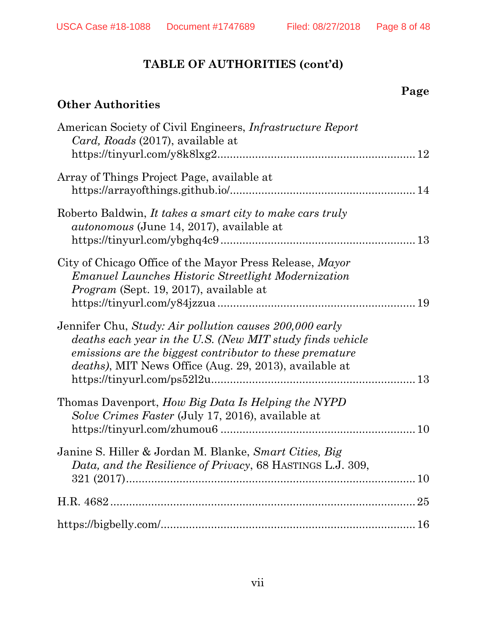# **Other Authorities**

| American Society of Civil Engineers, Infrastructure Report<br>Card, Roads (2017), available at                                                                                                                                                     |  |
|----------------------------------------------------------------------------------------------------------------------------------------------------------------------------------------------------------------------------------------------------|--|
|                                                                                                                                                                                                                                                    |  |
| Array of Things Project Page, available at                                                                                                                                                                                                         |  |
| Roberto Baldwin, It takes a smart city to make cars truly<br><i>autonomous</i> (June 14, 2017), available at                                                                                                                                       |  |
| City of Chicago Office of the Mayor Press Release, Mayor<br><b>Emanuel Launches Historic Streetlight Modernization</b><br><i>Program</i> (Sept. 19, 2017), available at                                                                            |  |
| Jennifer Chu, Study: Air pollution causes 200,000 early<br>deaths each year in the U.S. (New MIT study finds vehicle<br>emissions are the biggest contributor to these premature<br><i>deaths</i> ), MIT News Office (Aug. 29, 2013), available at |  |
| Thomas Davenport, How Big Data Is Helping the NYPD<br>Solve Crimes Faster (July 17, 2016), available at                                                                                                                                            |  |
| Janine S. Hiller & Jordan M. Blanke, Smart Cities, Big<br>Data, and the Resilience of Privacy, 68 HASTINGS L.J. 309,                                                                                                                               |  |
|                                                                                                                                                                                                                                                    |  |
|                                                                                                                                                                                                                                                    |  |
|                                                                                                                                                                                                                                                    |  |

**Page**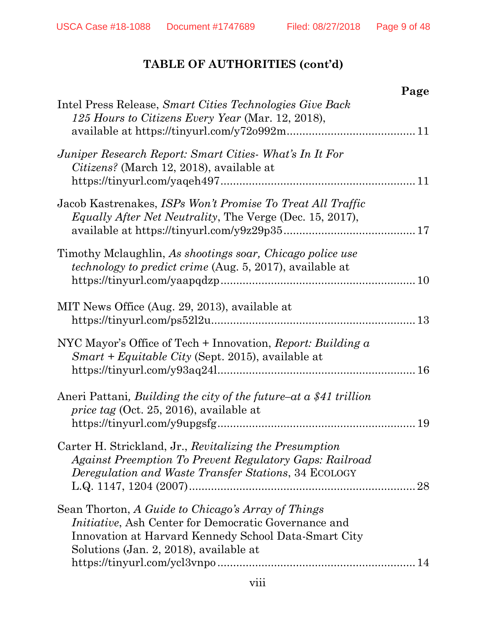|                                                                                                                                                                                                                      | Page |
|----------------------------------------------------------------------------------------------------------------------------------------------------------------------------------------------------------------------|------|
| Intel Press Release, Smart Cities Technologies Give Back<br>125 Hours to Citizens Every Year (Mar. 12, 2018),                                                                                                        |      |
| Juniper Research Report: Smart Cities What's In It For<br>Citizens? (March 12, 2018), available at                                                                                                                   |      |
| Jacob Kastrenakes, ISPs Won't Promise To Treat All Traffic<br><i>Equally After Net Neutrality</i> , The Verge (Dec. 15, 2017),                                                                                       |      |
| Timothy Mclaughlin, As shootings soar, Chicago police use<br>technology to predict crime (Aug. 5, 2017), available at                                                                                                |      |
| MIT News Office (Aug. 29, 2013), available at                                                                                                                                                                        |      |
| NYC Mayor's Office of Tech $+$ Innovation, Report: Building $\alpha$<br>Smart + Equitable City (Sept. 2015), available at                                                                                            |      |
| Aneri Pattani, Building the city of the future–at $\alpha$ \$41 trillion<br><i>price tag</i> (Oct. 25, 2016), available at                                                                                           |      |
| Carter H. Strickland, Jr., Revitalizing the Presumption<br>Against Preemption To Prevent Regulatory Gaps: Railroad<br><i>Deregulation and Waste Transfer Stations, 34 ECOLOGY</i>                                    | 28   |
| Sean Thorton, A Guide to Chicago's Array of Things<br><i>Initiative</i> , Ash Center for Democratic Governance and<br>Innovation at Harvard Kennedy School Data-Smart City<br>Solutions (Jan. 2, 2018), available at |      |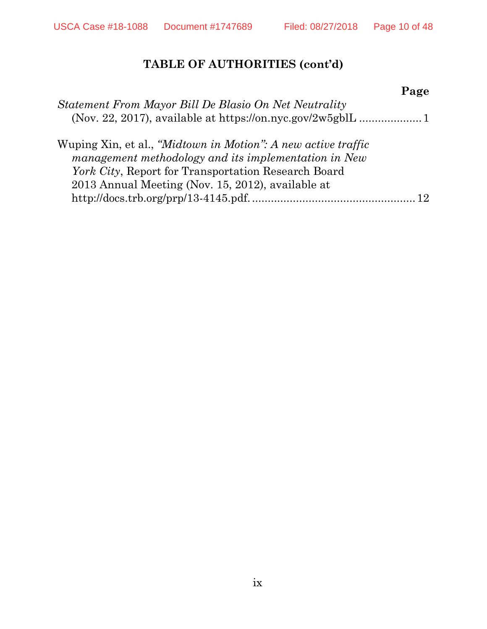|                                                               | Page |
|---------------------------------------------------------------|------|
| Statement From Mayor Bill De Blasio On Net Neutrality         |      |
|                                                               |      |
| Wuping Xin, et al., "Midtown in Motion": A new active traffic |      |
| management methodology and its implementation in New          |      |
| York City, Report for Transportation Research Board           |      |
| 2013 Annual Meeting (Nov. 15, 2012), available at             |      |
|                                                               |      |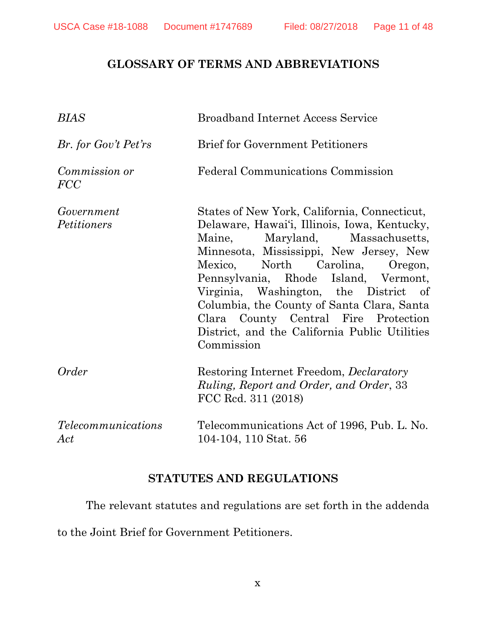## **GLOSSARY OF TERMS AND ABBREVIATIONS**

| BIAS                               | <b>Broadband Internet Access Service</b>                                                                                                                                                                                                                                                                                                                                                                                                            |
|------------------------------------|-----------------------------------------------------------------------------------------------------------------------------------------------------------------------------------------------------------------------------------------------------------------------------------------------------------------------------------------------------------------------------------------------------------------------------------------------------|
| Br. for Gov't Pet'rs               | <b>Brief for Government Petitioners</b>                                                                                                                                                                                                                                                                                                                                                                                                             |
| <i>Commission or</i><br><b>FCC</b> | <b>Federal Communications Commission</b>                                                                                                                                                                                                                                                                                                                                                                                                            |
| Government<br><i>Petitioners</i>   | States of New York, California, Connecticut,<br>Delaware, Hawai'i, Illinois, Iowa, Kentucky,<br>Maine, Maryland, Massachusetts,<br>Minnesota, Mississippi, New Jersey, New<br>Mexico, North Carolina, Oregon,<br>Pennsylvania, Rhode Island, Vermont,<br>Virginia, Washington, the District of<br>Columbia, the County of Santa Clara, Santa<br>Clara County Central Fire Protection<br>District, and the California Public Utilities<br>Commission |
| Order                              | Restoring Internet Freedom, <i>Declaratory</i><br>Ruling, Report and Order, and Order, 33<br>FCC Red. 311 (2018)                                                                                                                                                                                                                                                                                                                                    |
| <i>Telecommunications</i><br>Act   | Telecommunications Act of 1996, Pub. L. No.<br>104-104, 110 Stat. 56                                                                                                                                                                                                                                                                                                                                                                                |

## **STATUTES AND REGULATIONS**

The relevant statutes and regulations are set forth in the addenda

to the Joint Brief for Government Petitioners.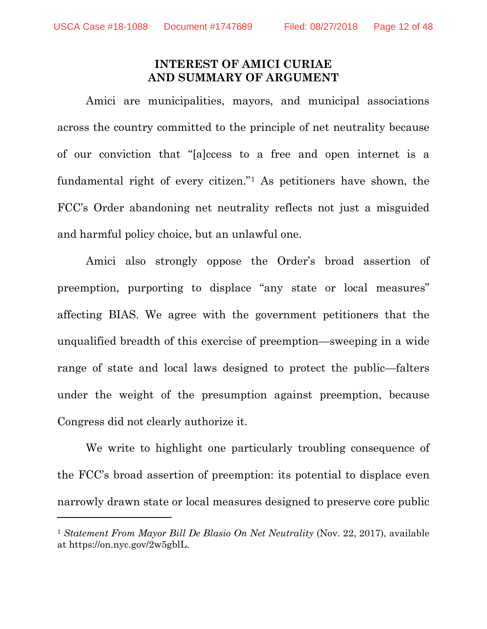$\overline{a}$ 

#### **INTEREST OF AMICI CURIAE AND SUMMARY OF ARGUMENT**

Amici are municipalities, mayors, and municipal associations across the country committed to the principle of net neutrality because of our conviction that "[a]ccess to a free and open internet is a fundamental right of every citizen.["1](#page-11-0) As petitioners have shown, the FCC's Order abandoning net neutrality reflects not just a misguided and harmful policy choice, but an unlawful one.

Amici also strongly oppose the Order's broad assertion of preemption, purporting to displace "any state or local measures" affecting BIAS. We agree with the government petitioners that the unqualified breadth of this exercise of preemption—sweeping in a wide range of state and local laws designed to protect the public—falters under the weight of the presumption against preemption, because Congress did not clearly authorize it.

We write to highlight one particularly troubling consequence of the FCC's broad assertion of preemption: its potential to displace even narrowly drawn state or local measures designed to preserve core public

<span id="page-11-0"></span><sup>1</sup> *Statement From Mayor Bill De Blasio On Net Neutrality* (Nov. 22, 2017), available at https://on.nyc.gov/2w5gblL.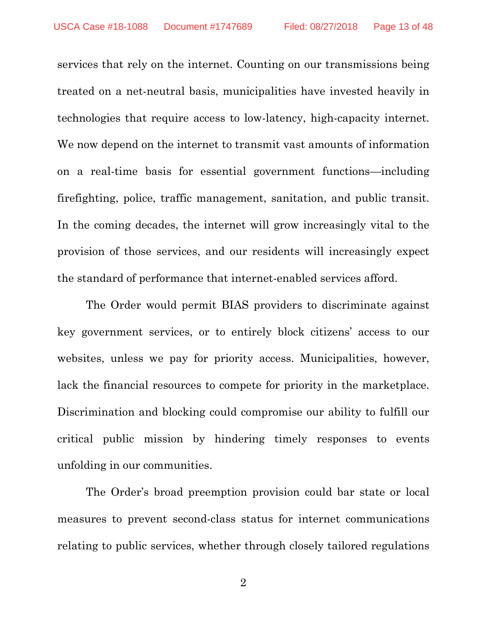services that rely on the internet. Counting on our transmissions being treated on a net-neutral basis, municipalities have invested heavily in technologies that require access to low-latency, high-capacity internet. We now depend on the internet to transmit vast amounts of information on a real-time basis for essential government functions—including firefighting, police, traffic management, sanitation, and public transit. In the coming decades, the internet will grow increasingly vital to the provision of those services, and our residents will increasingly expect the standard of performance that internet-enabled services afford.

The Order would permit BIAS providers to discriminate against key government services, or to entirely block citizens' access to our websites, unless we pay for priority access. Municipalities, however, lack the financial resources to compete for priority in the marketplace. Discrimination and blocking could compromise our ability to fulfill our critical public mission by hindering timely responses to events unfolding in our communities.

The Order's broad preemption provision could bar state or local measures to prevent second-class status for internet communications relating to public services, whether through closely tailored regulations

2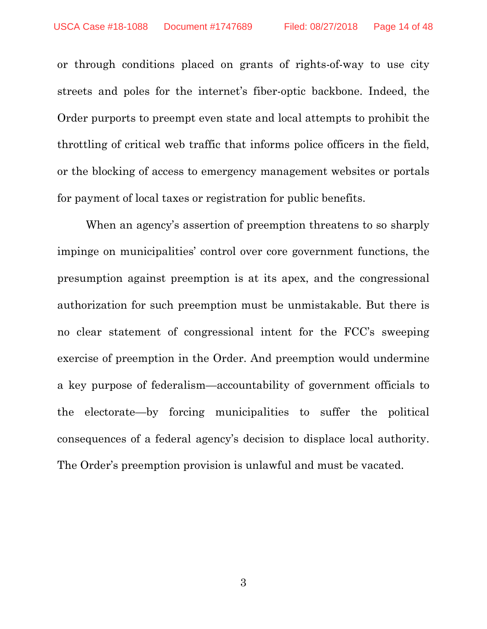or through conditions placed on grants of rights-of-way to use city streets and poles for the internet's fiber-optic backbone. Indeed, the Order purports to preempt even state and local attempts to prohibit the throttling of critical web traffic that informs police officers in the field, or the blocking of access to emergency management websites or portals for payment of local taxes or registration for public benefits.

When an agency's assertion of preemption threatens to so sharply impinge on municipalities' control over core government functions, the presumption against preemption is at its apex, and the congressional authorization for such preemption must be unmistakable. But there is no clear statement of congressional intent for the FCC's sweeping exercise of preemption in the Order. And preemption would undermine a key purpose of federalism—accountability of government officials to the electorate—by forcing municipalities to suffer the political consequences of a federal agency's decision to displace local authority. The Order's preemption provision is unlawful and must be vacated.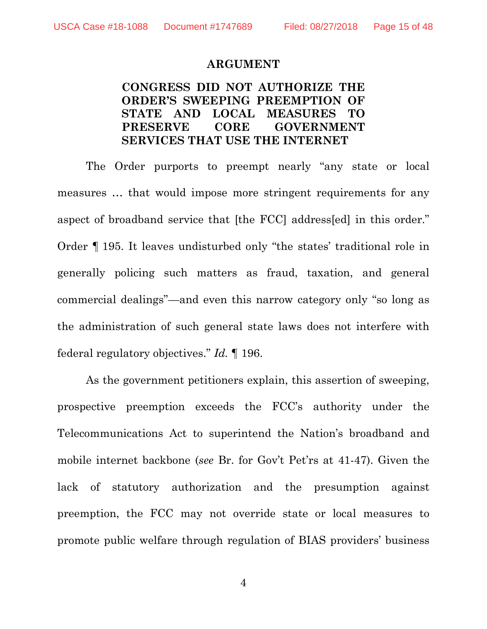#### **ARGUMENT**

## **CONGRESS DID NOT AUTHORIZE THE ORDER'S SWEEPING PREEMPTION OF STATE AND LOCAL MEASURES TO PRESERVE CORE GOVERNMENT SERVICES THAT USE THE INTERNET**

The Order purports to preempt nearly "any state or local measures … that would impose more stringent requirements for any aspect of broadband service that [the FCC] address[ed] in this order." Order ¶ 195. It leaves undisturbed only "the states' traditional role in generally policing such matters as fraud, taxation, and general commercial dealings"—and even this narrow category only "so long as the administration of such general state laws does not interfere with federal regulatory objectives." *Id.* ¶ 196.

As the government petitioners explain, this assertion of sweeping, prospective preemption exceeds the FCC's authority under the Telecommunications Act to superintend the Nation's broadband and mobile internet backbone (*see* Br. for Gov't Pet'rs at 41-47). Given the lack of statutory authorization and the presumption against preemption, the FCC may not override state or local measures to promote public welfare through regulation of BIAS providers' business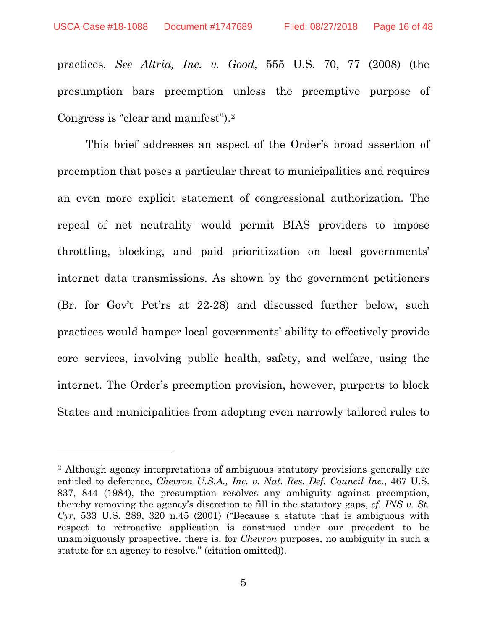l

<span id="page-15-0"></span>practices. *See Altria, Inc. v. Good*, 555 U.S. 70, 77 (2008) (the presumption bars preemption unless the preemptive purpose of Congress is "clear and manifest").[2](#page-15-3)

This brief addresses an aspect of the Order's broad assertion of preemption that poses a particular threat to municipalities and requires an even more explicit statement of congressional authorization. The repeal of net neutrality would permit BIAS providers to impose throttling, blocking, and paid prioritization on local governments' internet data transmissions. As shown by the government petitioners (Br. for Gov't Pet'rs at 22-28) and discussed further below, such practices would hamper local governments' ability to effectively provide core services, involving public health, safety, and welfare, using the internet. The Order's preemption provision, however, purports to block States and municipalities from adopting even narrowly tailored rules to

<span id="page-15-3"></span><span id="page-15-2"></span><span id="page-15-1"></span><sup>2</sup> Although agency interpretations of ambiguous statutory provisions generally are entitled to deference, *Chevron U.S.A., Inc. v. Nat. Res. Def. Council Inc.*, 467 U.S. 837, 844 (1984), the presumption resolves any ambiguity against preemption, thereby removing the agency's discretion to fill in the statutory gaps, *cf. INS v. St. Cyr*, 533 U.S. 289, 320 n.45 (2001) ("Because a statute that is ambiguous with respect to retroactive application is construed under our precedent to be unambiguously prospective, there is, for *Chevron* purposes, no ambiguity in such a statute for an agency to resolve." (citation omitted)).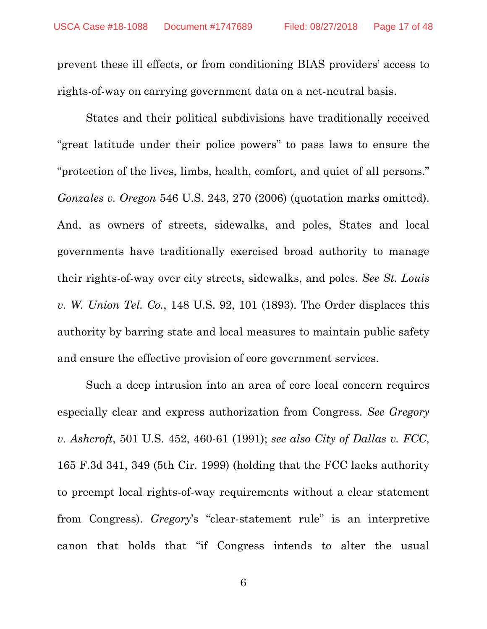prevent these ill effects, or from conditioning BIAS providers' access to rights-of-way on carrying government data on a net-neutral basis.

<span id="page-16-1"></span>States and their political subdivisions have traditionally received "great latitude under their police powers" to pass laws to ensure the "protection of the lives, limbs, health, comfort, and quiet of all persons." *Gonzales v. Oregon* 546 U.S. 243, 270 (2006) (quotation marks omitted). And, as owners of streets, sidewalks, and poles, States and local governments have traditionally exercised broad authority to manage their rights-of-way over city streets, sidewalks, and poles. *See St. Louis v. W. Union Tel. Co.*, 148 U.S. 92, 101 (1893). The Order displaces this authority by barring state and local measures to maintain public safety and ensure the effective provision of core government services.

<span id="page-16-3"></span><span id="page-16-2"></span><span id="page-16-0"></span>Such a deep intrusion into an area of core local concern requires especially clear and express authorization from Congress. *See Gregory v. Ashcroft*, 501 U.S. 452, 460-61 (1991); *see also City of Dallas v. FCC*, 165 F.3d 341, 349 (5th Cir. 1999) (holding that the FCC lacks authority to preempt local rights-of-way requirements without a clear statement from Congress). *Gregory*'s "clear-statement rule" is an interpretive canon that holds that "if Congress intends to alter the usual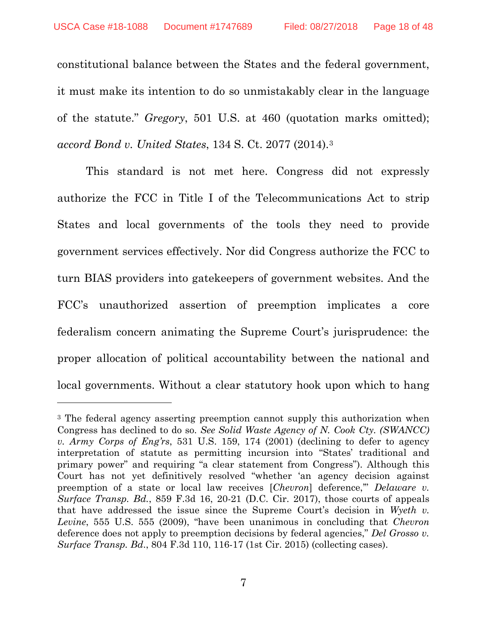<span id="page-17-4"></span>constitutional balance between the States and the federal government, it must make its intention to do so unmistakably clear in the language of the statute." *Gregory*, 501 U.S. at 460 (quotation marks omitted); *accord Bond v. United States*, 134 S. Ct. 2077 (2014).[3](#page-17-7)

<span id="page-17-0"></span>This standard is not met here. Congress did not expressly authorize the FCC in Title I of the Telecommunications Act to strip States and local governments of the tools they need to provide government services effectively. Nor did Congress authorize the FCC to turn BIAS providers into gatekeepers of government websites. And the FCC's unauthorized assertion of preemption implicates a core federalism concern animating the Supreme Court's jurisprudence: the proper allocation of political accountability between the national and local governments. Without a clear statutory hook upon which to hang

 $\overline{a}$ 

<span id="page-17-7"></span><span id="page-17-6"></span><span id="page-17-5"></span><span id="page-17-3"></span><span id="page-17-2"></span><span id="page-17-1"></span><sup>3</sup> The federal agency asserting preemption cannot supply this authorization when Congress has declined to do so. *See Solid Waste Agency of N. Cook Cty. (SWANCC) v. Army Corps of Eng'rs*, 531 U.S. 159, 174 (2001) (declining to defer to agency interpretation of statute as permitting incursion into "States' traditional and primary power" and requiring "a clear statement from Congress"). Although this Court has not yet definitively resolved "whether 'an agency decision against preemption of a state or local law receives [*Chevron*] deference,'" *Delaware v. Surface Transp. Bd.*, 859 F.3d 16, 20-21 (D.C. Cir. 2017), those courts of appeals that have addressed the issue since the Supreme Court's decision in *Wyeth v. Levine*, 555 U.S. 555 (2009), "have been unanimous in concluding that *Chevron*  deference does not apply to preemption decisions by federal agencies," *Del Grosso v. Surface Transp. Bd*., 804 F.3d 110, 116-17 (1st Cir. 2015) (collecting cases).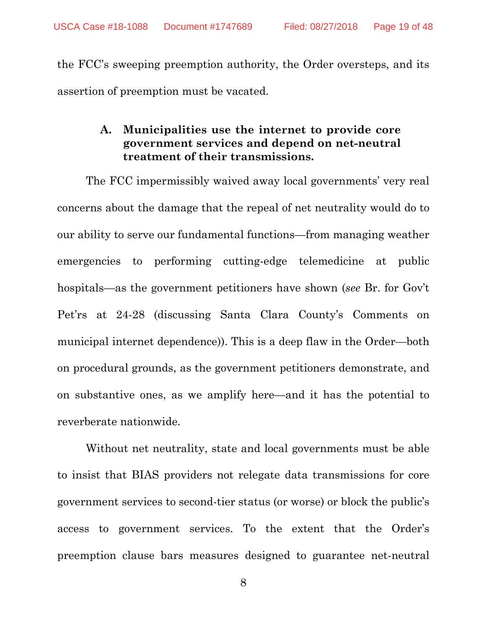the FCC's sweeping preemption authority, the Order oversteps, and its assertion of preemption must be vacated.

## **A. Municipalities use the internet to provide core government services and depend on net-neutral treatment of their transmissions.**

The FCC impermissibly waived away local governments' very real concerns about the damage that the repeal of net neutrality would do to our ability to serve our fundamental functions—from managing weather emergencies to performing cutting-edge telemedicine at public hospitals—as the government petitioners have shown (*see* Br. for Gov't Pet'rs at 24-28 (discussing Santa Clara County's Comments on municipal internet dependence)). This is a deep flaw in the Order—both on procedural grounds, as the government petitioners demonstrate, and on substantive ones, as we amplify here—and it has the potential to reverberate nationwide.

Without net neutrality, state and local governments must be able to insist that BIAS providers not relegate data transmissions for core government services to second-tier status (or worse) or block the public's access to government services. To the extent that the Order's preemption clause bars measures designed to guarantee net-neutral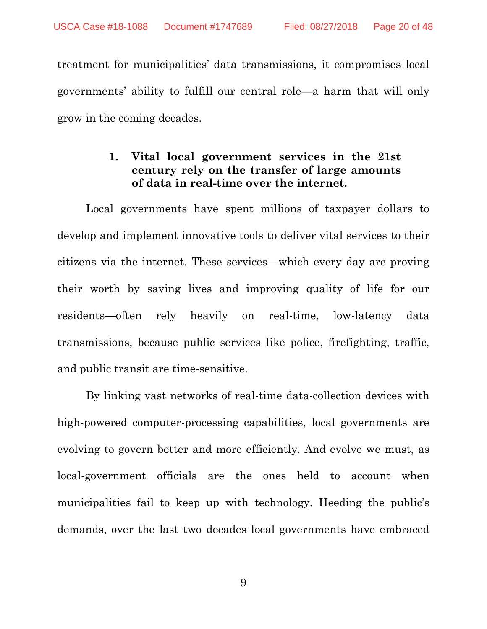treatment for municipalities' data transmissions, it compromises local governments' ability to fulfill our central role—a harm that will only grow in the coming decades.

#### **1. Vital local government services in the 21st century rely on the transfer of large amounts of data in real-time over the internet.**

Local governments have spent millions of taxpayer dollars to develop and implement innovative tools to deliver vital services to their citizens via the internet. These services—which every day are proving their worth by saving lives and improving quality of life for our residents—often rely heavily on real-time, low-latency data transmissions, because public services like police, firefighting, traffic, and public transit are time-sensitive.

By linking vast networks of real-time data-collection devices with high-powered computer-processing capabilities, local governments are evolving to govern better and more efficiently. And evolve we must, as local-government officials are the ones held to account when municipalities fail to keep up with technology. Heeding the public's demands, over the last two decades local governments have embraced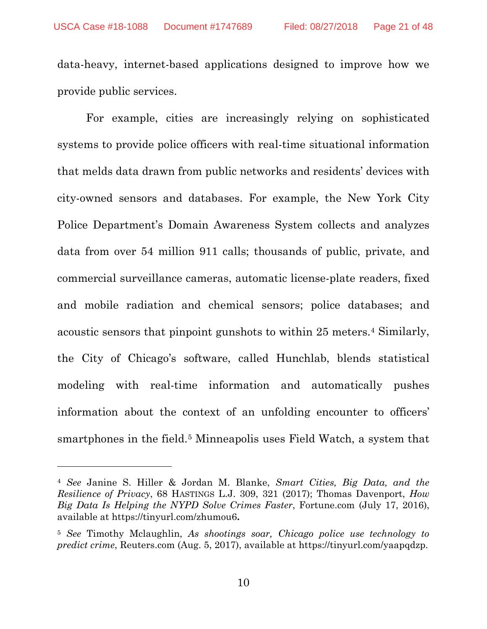data-heavy, internet-based applications designed to improve how we provide public services.

For example, cities are increasingly relying on sophisticated systems to provide police officers with real-time situational information that melds data drawn from public networks and residents' devices with city-owned sensors and databases. For example, the New York City Police Department's Domain Awareness System collects and analyzes data from over 54 million 911 calls; thousands of public, private, and commercial surveillance cameras, automatic license-plate readers, fixed and mobile radiation and chemical sensors; police databases; and acoustic sensors that pinpoint gunshots to within 25 meters.[4](#page-20-3) Similarly, the City of Chicago's software, called Hunchlab, blends statistical modeling with real-time information and automatically pushes information about the context of an unfolding encounter to officers' smartphones in the field.[5](#page-20-4) Minneapolis uses Field Watch, a system that

<span id="page-20-1"></span>l

<span id="page-20-3"></span><span id="page-20-0"></span><sup>4</sup> *See* Janine S. Hiller & Jordan M. Blanke, *Smart Cities, Big Data, and the Resilience of Privacy*, 68 HASTINGS L.J. 309, 321 (2017); Thomas Davenport, *How Big Data Is Helping the NYPD Solve Crimes Faster*, Fortune.com (July 17, 2016), available at https://tinyurl.com/zhumou6**.**

<span id="page-20-4"></span><span id="page-20-2"></span><sup>5</sup> *See* Timothy Mclaughlin, *As shootings soar, Chicago police use technology to predict crime*, Reuters.com (Aug. 5, 2017), available at https://tinyurl.com/yaapqdzp.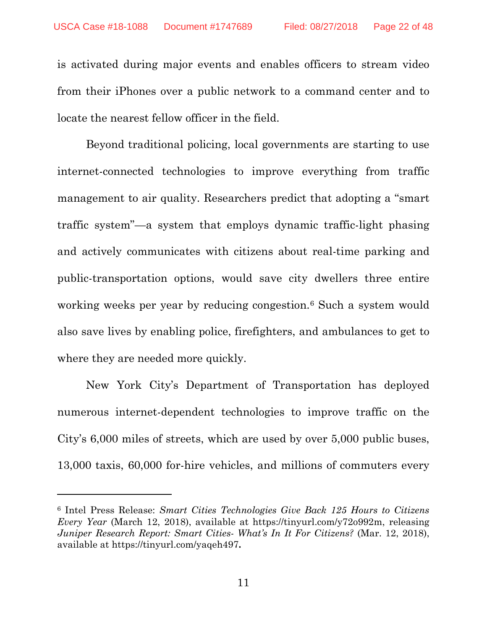is activated during major events and enables officers to stream video from their iPhones over a public network to a command center and to locate the nearest fellow officer in the field.

Beyond traditional policing, local governments are starting to use internet-connected technologies to improve everything from traffic management to air quality. Researchers predict that adopting a "smart traffic system"—a system that employs dynamic traffic-light phasing and actively communicates with citizens about real-time parking and public-transportation options, would save city dwellers three entire working weeks per year by reducing congestion.[6](#page-21-2) Such a system would also save lives by enabling police, firefighters, and ambulances to get to where they are needed more quickly.

New York City's Department of Transportation has deployed numerous internet-dependent technologies to improve traffic on the City's 6,000 miles of streets, which are used by over 5,000 public buses, 13,000 taxis, 60,000 for-hire vehicles, and millions of commuters every

 $\overline{a}$ 

<span id="page-21-2"></span><span id="page-21-1"></span><span id="page-21-0"></span><sup>6</sup> Intel Press Release: *Smart Cities Technologies Give Back 125 Hours to Citizens Every Year* (March 12, 2018), available at [https://tinyurl.com/y72o992m,](https://tinyurl.com/y72o992m) releasing *Juniper Research Report: Smart Cities- What's In It For Citizens?* (Mar. 12, 2018), available at<https://tinyurl.com/yaqeh497>**.**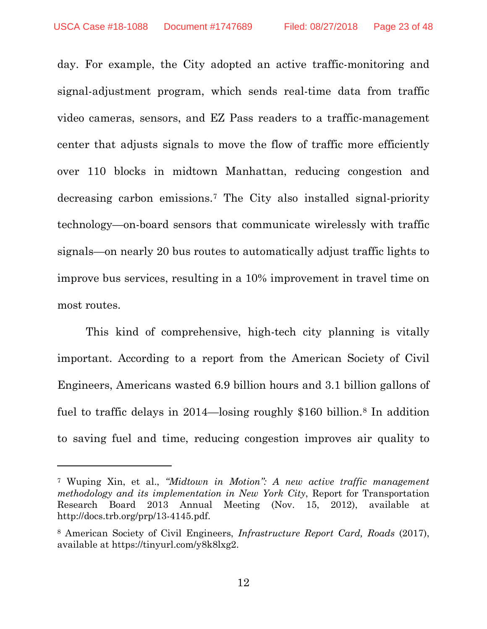<span id="page-22-1"></span> $\overline{a}$ 

day. For example, the City adopted an active traffic-monitoring and signal-adjustment program, which sends real-time data from traffic video cameras, sensors, and EZ Pass readers to a traffic-management center that adjusts signals to move the flow of traffic more efficiently over 110 blocks in midtown Manhattan, reducing congestion and decreasing carbon emissions.[7](#page-22-2) The City also installed signal-priority technology—on-board sensors that communicate wirelessly with traffic signals—on nearly 20 bus routes to automatically adjust traffic lights to improve bus services, resulting in a 10% improvement in travel time on most routes.

This kind of comprehensive, high-tech city planning is vitally important. According to a report from the American Society of Civil Engineers, Americans wasted 6.9 billion hours and 3.1 billion gallons of fuel to traffic delays in 2014—losing roughly \$160 billion.[8](#page-22-3) In addition to saving fuel and time, reducing congestion improves air quality to

<span id="page-22-0"></span>12

<span id="page-22-2"></span><sup>7</sup> Wuping Xin, et al., *"Midtown in Motion": A new active traffic management methodology and its implementation in New York City*, Report for Transportation Research Board 2013 Annual Meeting (Nov. 15, 2012), available at http://docs.trb.org/prp/13-4145.pdf.

<span id="page-22-3"></span><sup>8</sup> American Society of Civil Engineers, *Infrastructure Report Card, Roads* (2017), available at https://tinyurl.com/y8k8lxg2.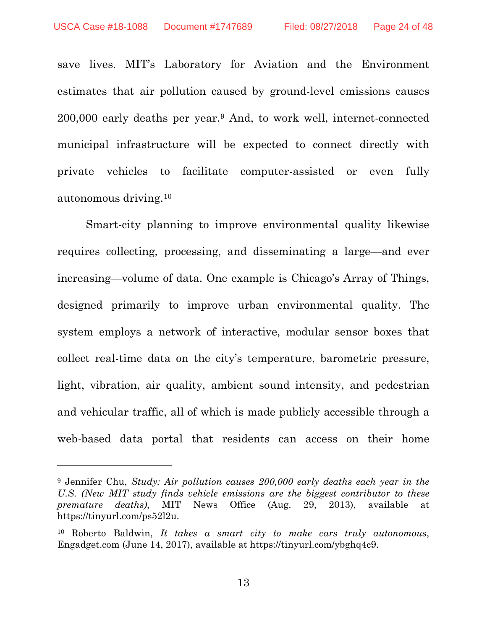$\overline{a}$ 

save lives. MIT's Laboratory for Aviation and the Environment estimates that air pollution caused by ground-level emissions causes 200,000 early deaths per year.[9](#page-23-2) And, to work well, internet-connected municipal infrastructure will be expected to connect directly with private vehicles to facilitate computer-assisted or even fully autonomous driving.[10](#page-23-3)

Smart-city planning to improve environmental quality likewise requires collecting, processing, and disseminating a large—and ever increasing—volume of data. One example is Chicago's Array of Things, designed primarily to improve urban environmental quality. The system employs a network of interactive, modular sensor boxes that collect real-time data on the city's temperature, barometric pressure, light, vibration, air quality, ambient sound intensity, and pedestrian and vehicular traffic, all of which is made publicly accessible through a web-based data portal that residents can access on their home

<span id="page-23-1"></span>13

<span id="page-23-2"></span><sup>9</sup> Jennifer Chu, *Study: Air pollution causes 200,000 early deaths each year in the U.S. (New MIT study finds vehicle emissions are the biggest contributor to these premature deaths)*, MIT News Office (Aug. 29, 2013), available at https://tinyurl.com/ps52l2u.

<span id="page-23-3"></span><span id="page-23-0"></span><sup>10</sup> Roberto Baldwin, *It takes a smart city to make cars truly autonomous*, Engadget.com (June 14, 2017), available at https://tinyurl.com/ybghq4c9.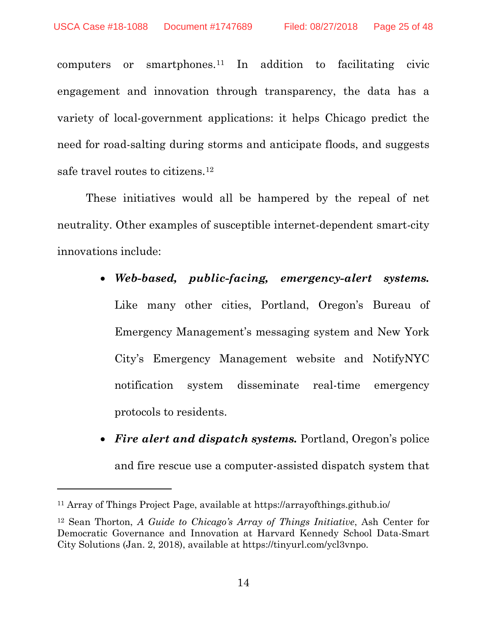computers or smartphones.[11](#page-24-1) In addition to facilitating civic engagement and innovation through transparency, the data has a variety of local-government applications: it helps Chicago predict the need for road-salting during storms and anticipate floods, and suggests safe travel routes to citizens.[12](#page-24-2)

These initiatives would all be hampered by the repeal of net neutrality. Other examples of susceptible internet-dependent smart-city innovations include:

#### • *Web-based, public-facing, emergency-alert systems.*

Like many other cities, Portland, Oregon's Bureau of Emergency Management's messaging system and New York City's Emergency Management website and NotifyNYC notification system disseminate real-time emergency protocols to residents.

• *Fire alert and dispatch systems.* Portland, Oregon's police and fire rescue use a computer-assisted dispatch system that

l

<span id="page-24-1"></span><span id="page-24-0"></span><sup>11</sup> Array of Things Project Page, available at<https://arrayofthings.github.io/>

<span id="page-24-2"></span><sup>12</sup> Sean Thorton, *A Guide to Chicago's Array of Things Initiative*, Ash Center for Democratic Governance and Innovation at Harvard Kennedy School Data-Smart City Solutions (Jan. 2, 2018), available at https://tinyurl.com/ycl3vnpo.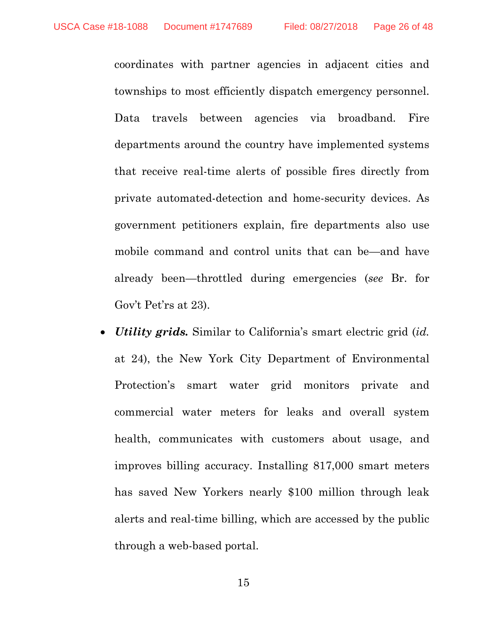coordinates with partner agencies in adjacent cities and townships to most efficiently dispatch emergency personnel. Data travels between agencies via broadband. Fire departments around the country have implemented systems that receive real-time alerts of possible fires directly from private automated-detection and home-security devices. As government petitioners explain, fire departments also use mobile command and control units that can be—and have already been—throttled during emergencies (*see* Br. for Gov't Pet'rs at 23).

• *Utility grids.* Similar to California's smart electric grid (*id.* at 24), the New York City Department of Environmental Protection's smart water grid monitors private and commercial water meters for leaks and overall system health, communicates with customers about usage, and improves billing accuracy. Installing 817,000 smart meters has saved New Yorkers nearly \$100 million through leak alerts and real-time billing, which are accessed by the public through a web-based portal.

15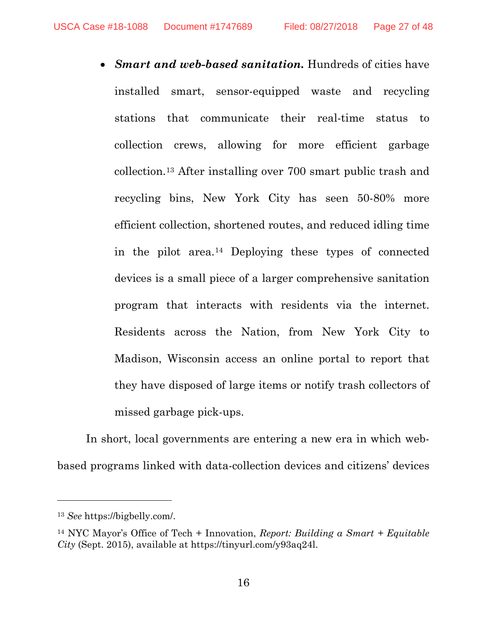• *Smart and web-based sanitation.* Hundreds of cities have installed smart, sensor-equipped waste and recycling stations that communicate their real-time status to collection crews, allowing for more efficient garbage collection.[13](#page-26-1) After installing over 700 smart public trash and recycling bins, New York City has seen 50-80% more efficient collection, shortened routes, and reduced idling time in the pilot area.[14](#page-26-2) Deploying these types of connected devices is a small piece of a larger comprehensive sanitation program that interacts with residents via the internet. Residents across the Nation, from New York City to Madison, Wisconsin access an online portal to report that they have disposed of large items or notify trash collectors of missed garbage pick-ups.

In short, local governments are entering a new era in which webbased programs linked with data-collection devices and citizens' devices

 $\overline{a}$ 

<span id="page-26-1"></span><span id="page-26-0"></span><sup>13</sup> *See* https://bigbelly.com/.

<span id="page-26-2"></span><sup>14</sup> NYC Mayor's Office of Tech + Innovation, *Report: Building a Smart + Equitable City* (Sept. 2015), available at https://tinyurl.com/y93aq24l.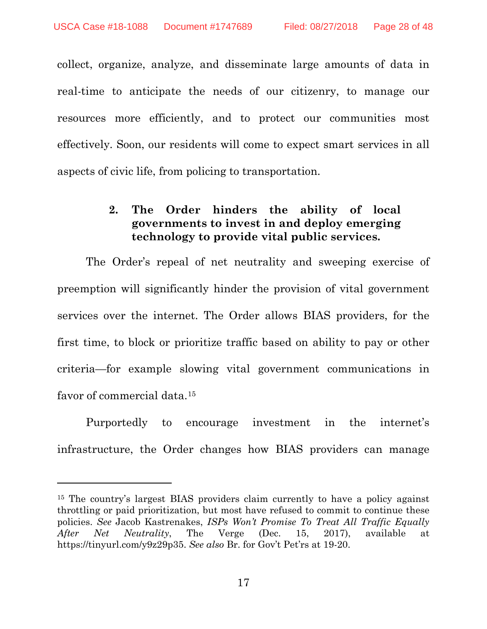$\overline{a}$ 

collect, organize, analyze, and disseminate large amounts of data in real-time to anticipate the needs of our citizenry, to manage our resources more efficiently, and to protect our communities most effectively. Soon, our residents will come to expect smart services in all aspects of civic life, from policing to transportation.

#### **2. The Order hinders the ability of local governments to invest in and deploy emerging technology to provide vital public services.**

The Order's repeal of net neutrality and sweeping exercise of preemption will significantly hinder the provision of vital government services over the internet. The Order allows BIAS providers, for the first time, to block or prioritize traffic based on ability to pay or other criteria—for example slowing vital government communications in favor of commercial data.[15](#page-27-1)

Purportedly to encourage investment in the internet's infrastructure, the Order changes how BIAS providers can manage

<span id="page-27-0"></span>17

<span id="page-27-1"></span><sup>15</sup> The country's largest BIAS providers claim currently to have a policy against throttling or paid prioritization, but most have refused to commit to continue these policies. *See* Jacob Kastrenakes, *ISPs Won't Promise To Treat All Traffic Equally After Net Neutrality*, The Verge (Dec. 15, 2017), available at [https://tinyurl.com/y9z29p35.](https://tinyurl.com/y9z29p35) *See also* Br. for Gov't Pet'rs at 19-20.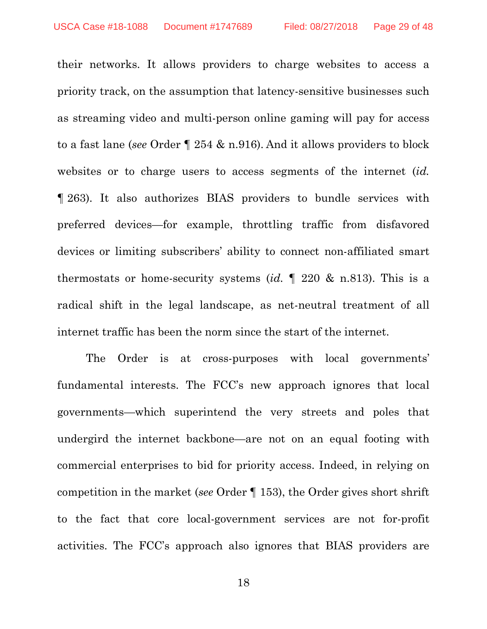their networks. It allows providers to charge websites to access a priority track, on the assumption that latency-sensitive businesses such as streaming video and multi-person online gaming will pay for access to a fast lane (*see* Order ¶ 254 & n.916). And it allows providers to block websites or to charge users to access segments of the internet (*id.* ¶ 263). It also authorizes BIAS providers to bundle services with preferred devices—for example, throttling traffic from disfavored devices or limiting subscribers' ability to connect non-affiliated smart thermostats or home-security systems (*id.* ¶ 220 & n.813). This is a radical shift in the legal landscape, as net-neutral treatment of all internet traffic has been the norm since the start of the internet.

The Order is at cross-purposes with local governments' fundamental interests. The FCC's new approach ignores that local governments—which superintend the very streets and poles that undergird the internet backbone—are not on an equal footing with commercial enterprises to bid for priority access. Indeed, in relying on competition in the market (*see* Order ¶ 153), the Order gives short shrift to the fact that core local-government services are not for-profit activities. The FCC's approach also ignores that BIAS providers are

18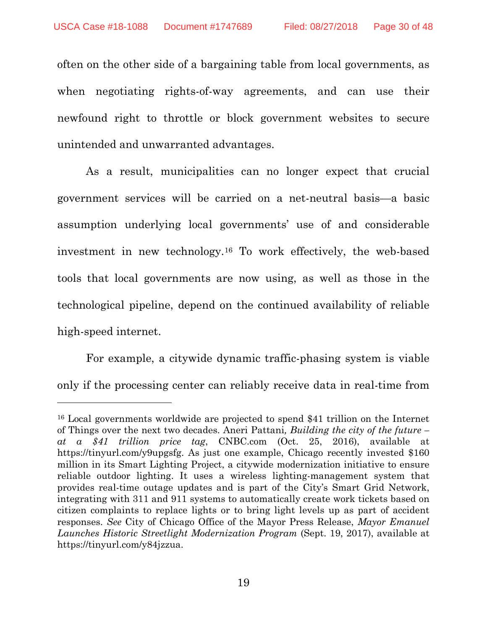often on the other side of a bargaining table from local governments, as when negotiating rights-of-way agreements, and can use their newfound right to throttle or block government websites to secure unintended and unwarranted advantages.

As a result, municipalities can no longer expect that crucial government services will be carried on a net-neutral basis—a basic assumption underlying local governments' use of and considerable investment in new technology.[16](#page-29-2) To work effectively, the web-based tools that local governments are now using, as well as those in the technological pipeline, depend on the continued availability of reliable high-speed internet.

For example, a citywide dynamic traffic-phasing system is viable only if the processing center can reliably receive data in real-time from

 $\overline{a}$ 

<span id="page-29-2"></span><span id="page-29-1"></span><span id="page-29-0"></span><sup>16</sup> Local governments worldwide are projected to spend \$41 trillion on the Internet of Things over the next two decades. Aneri Pattani*, Building the city of the future – at a \$41 trillion price tag*, CNBC.com (Oct. 25, 2016), available at [https://tinyurl.com/y9upgsfg.](https://tinyurl.com/y9upgsfg) As just one example, Chicago recently invested \$160 million in its Smart Lighting Project, a citywide modernization initiative to ensure reliable outdoor lighting. It uses a wireless lighting-management system that provides real-time outage updates and is part of the City's Smart Grid Network, integrating with 311 and 911 systems to automatically create work tickets based on citizen complaints to replace lights or to bring light levels up as part of accident responses. *See* City of Chicago Office of the Mayor Press Release, *Mayor Emanuel Launches Historic Streetlight Modernization Program* (Sept. 19, 2017), available at [https://tinyurl.com/y84jzzua.](https://tinyurl.com/y84jzzua)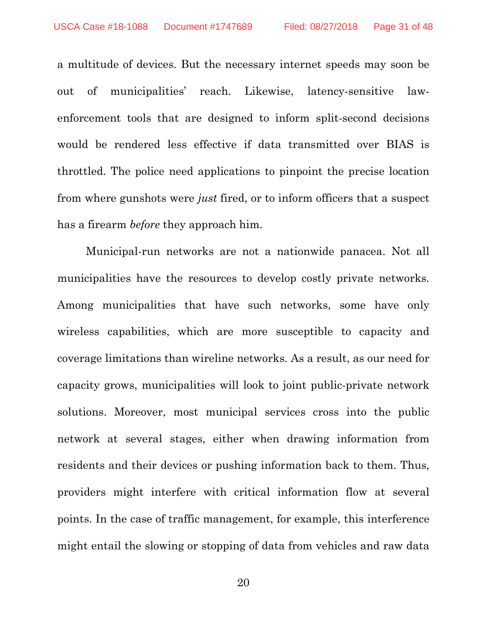a multitude of devices. But the necessary internet speeds may soon be out of municipalities' reach. Likewise, latency-sensitive lawenforcement tools that are designed to inform split-second decisions would be rendered less effective if data transmitted over BIAS is throttled. The police need applications to pinpoint the precise location from where gunshots were *just* fired, or to inform officers that a suspect has a firearm *before* they approach him.

Municipal-run networks are not a nationwide panacea. Not all municipalities have the resources to develop costly private networks. Among municipalities that have such networks, some have only wireless capabilities, which are more susceptible to capacity and coverage limitations than wireline networks. As a result, as our need for capacity grows, municipalities will look to joint public-private network solutions. Moreover, most municipal services cross into the public network at several stages, either when drawing information from residents and their devices or pushing information back to them. Thus, providers might interfere with critical information flow at several points. In the case of traffic management, for example, this interference might entail the slowing or stopping of data from vehicles and raw data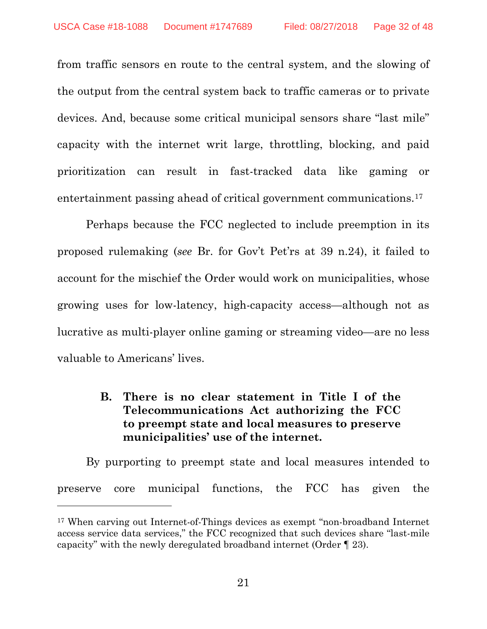from traffic sensors en route to the central system, and the slowing of the output from the central system back to traffic cameras or to private devices. And, because some critical municipal sensors share "last mile" capacity with the internet writ large, throttling, blocking, and paid prioritization can result in fast-tracked data like gaming or entertainment passing ahead of critical government communications.<sup>[17](#page-31-0)</sup>

Perhaps because the FCC neglected to include preemption in its proposed rulemaking (*see* Br. for Gov't Pet'rs at 39 n.24), it failed to account for the mischief the Order would work on municipalities, whose growing uses for low-latency, high-capacity access—although not as lucrative as multi-player online gaming or streaming video—are no less valuable to Americans' lives.

## **B. There is no clear statement in Title I of the Telecommunications Act authorizing the FCC to preempt state and local measures to preserve municipalities' use of the internet.**

By purporting to preempt state and local measures intended to preserve core municipal functions, the FCC has given the

 $\overline{a}$ 

<span id="page-31-0"></span><sup>17</sup> When carving out Internet-of-Things devices as exempt "non-broadband Internet access service data services," the FCC recognized that such devices share "last-mile capacity" with the newly deregulated broadband internet (Order ¶ 23).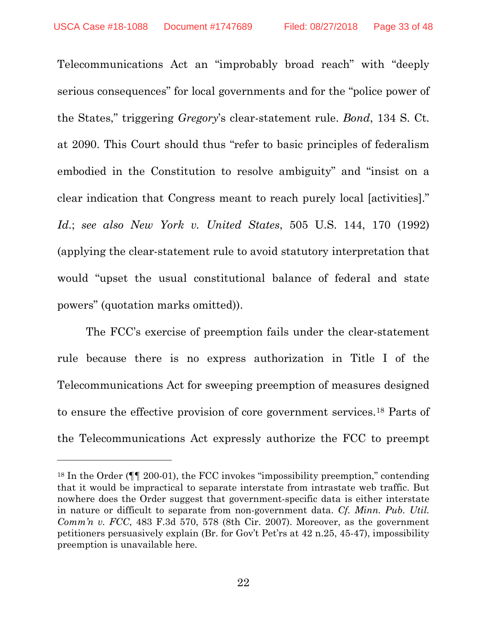<span id="page-32-0"></span>Telecommunications Act an "improbably broad reach" with "deeply serious consequences" for local governments and for the "police power of the States," triggering *Gregory*'s clear-statement rule. *Bond*, 134 S. Ct. at 2090. This Court should thus "refer to basic principles of federalism embodied in the Constitution to resolve ambiguity" and "insist on a clear indication that Congress meant to reach purely local [activities]." *Id*.; *see also New York v. United States*, 505 U.S. 144, 170 (1992) (applying the clear-statement rule to avoid statutory interpretation that would "upset the usual constitutional balance of federal and state powers" (quotation marks omitted)).

<span id="page-32-2"></span>The FCC's exercise of preemption fails under the clear-statement rule because there is no express authorization in Title I of the Telecommunications Act for sweeping preemption of measures designed to ensure the effective provision of core government services.[18](#page-32-3) Parts of the Telecommunications Act expressly authorize the FCC to preempt

 $\overline{a}$ 

<span id="page-32-3"></span><span id="page-32-1"></span><sup>18</sup> In the Order (¶¶ 200-01), the FCC invokes "impossibility preemption," contending that it would be impractical to separate interstate from intrastate web traffic. But nowhere does the Order suggest that government-specific data is either interstate in nature or difficult to separate from non-government data. *Cf. Minn. Pub. Util. Comm'n v. FCC*, 483 F.3d 570, 578 (8th Cir. 2007). Moreover, as the government petitioners persuasively explain (Br. for Gov't Pet'rs at 42 n.25, 45-47), impossibility preemption is unavailable here.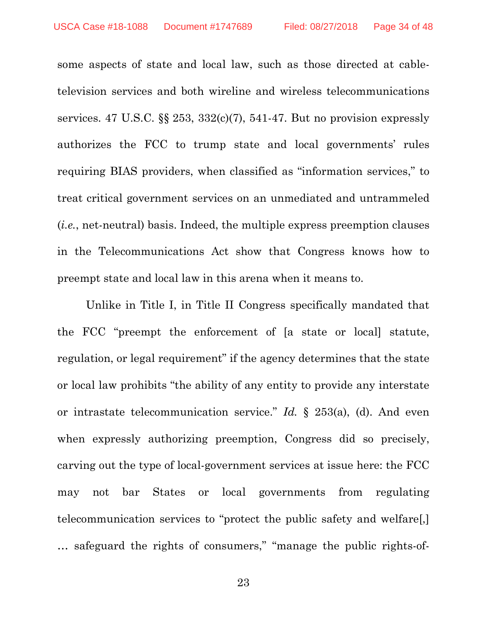<span id="page-33-0"></span>some aspects of state and local law, such as those directed at cabletelevision services and both wireline and wireless telecommunications services. 47 U.S.C.  $\S$  253, 332(c)(7), 541-47. But no provision expressly authorizes the FCC to trump state and local governments' rules requiring BIAS providers, when classified as "information services," to treat critical government services on an unmediated and untrammeled (*i.e.*, net-neutral) basis. Indeed, the multiple express preemption clauses in the Telecommunications Act show that Congress knows how to preempt state and local law in this arena when it means to.

Unlike in Title I, in Title II Congress specifically mandated that the FCC "preempt the enforcement of [a state or local] statute, regulation, or legal requirement" if the agency determines that the state or local law prohibits "the ability of any entity to provide any interstate or intrastate telecommunication service." *Id.* § 253(a), (d). And even when expressly authorizing preemption, Congress did so precisely, carving out the type of local-government services at issue here: the FCC may not bar States or local governments from regulating telecommunication services to "protect the public safety and welfare[,] … safeguard the rights of consumers," "manage the public rights-of-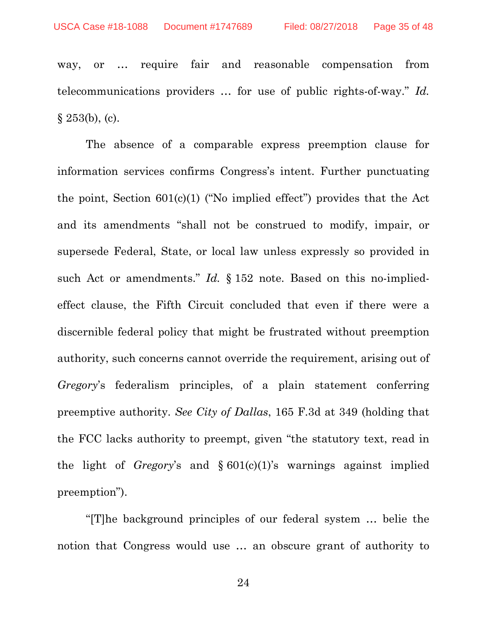way, or … require fair and reasonable compensation from telecommunications providers … for use of public rights-of-way." *Id.*  $§$  253(b), (c).

The absence of a comparable express preemption clause for information services confirms Congress's intent. Further punctuating the point, Section  $601(c)(1)$  ("No implied effect") provides that the Act and its amendments "shall not be construed to modify, impair, or supersede Federal, State, or local law unless expressly so provided in such Act or amendments." *Id.* § 152 note. Based on this no-impliedeffect clause, the Fifth Circuit concluded that even if there were a discernible federal policy that might be frustrated without preemption authority, such concerns cannot override the requirement, arising out of *Gregory*'s federalism principles, of a plain statement conferring preemptive authority. *See City of Dallas*, 165 F.3d at 349 (holding that the FCC lacks authority to preempt, given "the statutory text, read in the light of *Gregory*'s and § 601(c)(1)'s warnings against implied preemption").

"[T]he background principles of our federal system … belie the notion that Congress would use … an obscure grant of authority to

<span id="page-34-0"></span>24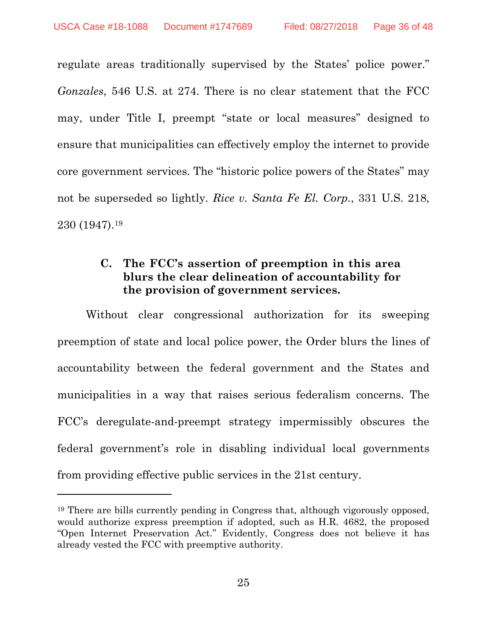<span id="page-35-2"></span> $\overline{a}$ 

<span id="page-35-0"></span>regulate areas traditionally supervised by the States' police power." *Gonzales*, 546 U.S. at 274. There is no clear statement that the FCC may, under Title I, preempt "state or local measures" designed to ensure that municipalities can effectively employ the internet to provide core government services. The "historic police powers of the States" may not be superseded so lightly. *Rice v. Santa Fe El. Corp.*, 331 U.S. 218, 230 (1947).[19](#page-35-3)

## <span id="page-35-1"></span>**C. The FCC's assertion of preemption in this area blurs the clear delineation of accountability for the provision of government services.**

Without clear congressional authorization for its sweeping preemption of state and local police power, the Order blurs the lines of accountability between the federal government and the States and municipalities in a way that raises serious federalism concerns. The FCC's deregulate-and-preempt strategy impermissibly obscures the federal government's role in disabling individual local governments from providing effective public services in the 21st century.

<span id="page-35-3"></span><sup>19</sup> There are bills currently pending in Congress that, although vigorously opposed, would authorize express preemption if adopted, such as H.R. 4682, the proposed "Open Internet Preservation Act." Evidently, Congress does not believe it has already vested the FCC with preemptive authority.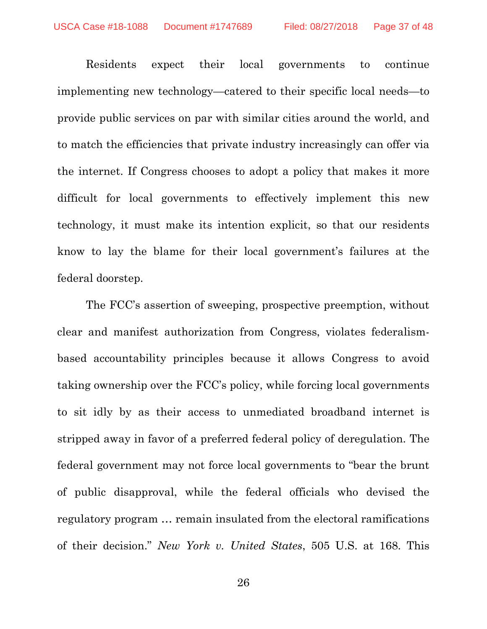Residents expect their local governments to continue implementing new technology—catered to their specific local needs—to provide public services on par with similar cities around the world, and to match the efficiencies that private industry increasingly can offer via the internet. If Congress chooses to adopt a policy that makes it more difficult for local governments to effectively implement this new technology, it must make its intention explicit, so that our residents know to lay the blame for their local government's failures at the federal doorstep.

<span id="page-36-0"></span>The FCC's assertion of sweeping, prospective preemption, without clear and manifest authorization from Congress, violates federalismbased accountability principles because it allows Congress to avoid taking ownership over the FCC's policy, while forcing local governments to sit idly by as their access to unmediated broadband internet is stripped away in favor of a preferred federal policy of deregulation. The federal government may not force local governments to "bear the brunt of public disapproval, while the federal officials who devised the regulatory program … remain insulated from the electoral ramifications of their decision." *New York v. United States*, 505 U.S. at 168. This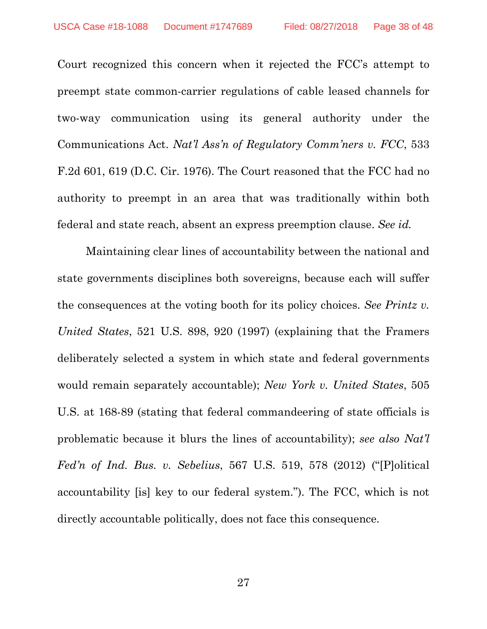<span id="page-37-0"></span>Court recognized this concern when it rejected the FCC's attempt to preempt state common-carrier regulations of cable leased channels for two-way communication using its general authority under the Communications Act. *Nat'l Ass'n of Regulatory Comm'ners v. FCC*, 533 F.2d 601, 619 (D.C. Cir. 1976). The Court reasoned that the FCC had no authority to preempt in an area that was traditionally within both federal and state reach, absent an express preemption clause. *See id.*

Maintaining clear lines of accountability between the national and state governments disciplines both sovereigns, because each will suffer the consequences at the voting booth for its policy choices. *See Printz v. United States*, 521 U.S. 898, 920 (1997) (explaining that the Framers deliberately selected a system in which state and federal governments would remain separately accountable); *New York v. United States*, 505 U.S. at 168-89 (stating that federal commandeering of state officials is problematic because it blurs the lines of accountability); *see also Nat'l Fed'n of Ind. Bus. v. Sebelius*, 567 U.S. 519, 578 (2012) ("[P]olitical accountability [is] key to our federal system."). The FCC, which is not directly accountable politically, does not face this consequence.

<span id="page-37-2"></span><span id="page-37-1"></span>27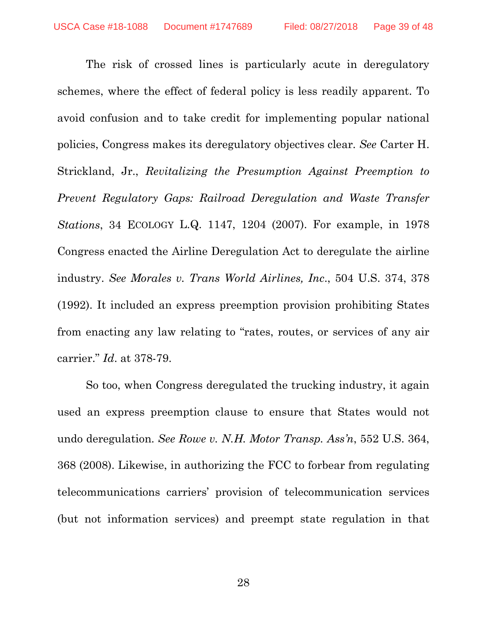<span id="page-38-2"></span>The risk of crossed lines is particularly acute in deregulatory schemes, where the effect of federal policy is less readily apparent. To avoid confusion and to take credit for implementing popular national policies, Congress makes its deregulatory objectives clear. *See* Carter H. Strickland, Jr., *Revitalizing the Presumption Against Preemption to Prevent Regulatory Gaps: Railroad Deregulation and Waste Transfer Stations*, 34 ECOLOGY L.Q. 1147, 1204 (2007). For example, in 1978 Congress enacted the Airline Deregulation Act to deregulate the airline industry. *See Morales v. Trans World Airlines, Inc*., 504 U.S. 374, 378 (1992). It included an express preemption provision prohibiting States from enacting any law relating to "rates, routes, or services of any air carrier." *Id*. at 378-79.

<span id="page-38-1"></span><span id="page-38-0"></span>So too, when Congress deregulated the trucking industry, it again used an express preemption clause to ensure that States would not undo deregulation. *See Rowe v. N.H. Motor Transp. Ass'n*, 552 U.S. 364, 368 (2008). Likewise, in authorizing the FCC to forbear from regulating telecommunications carriers' provision of telecommunication services (but not information services) and preempt state regulation in that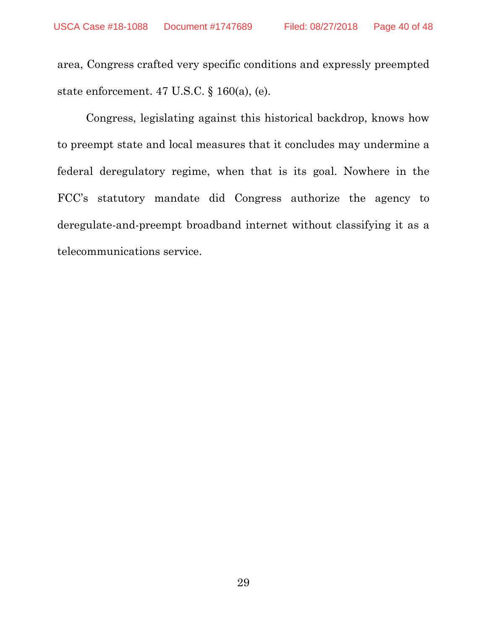<span id="page-39-0"></span>area, Congress crafted very specific conditions and expressly preempted state enforcement. 47 U.S.C. § 160(a), (e).

Congress, legislating against this historical backdrop, knows how to preempt state and local measures that it concludes may undermine a federal deregulatory regime, when that is its goal. Nowhere in the FCC's statutory mandate did Congress authorize the agency to deregulate-and-preempt broadband internet without classifying it as a telecommunications service.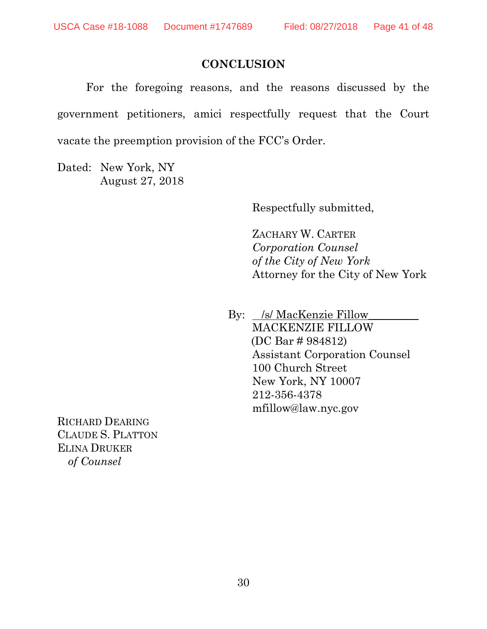#### **CONCLUSION**

For the foregoing reasons, and the reasons discussed by the government petitioners, amici respectfully request that the Court vacate the preemption provision of the FCC's Order.

Dated: New York, NY August 27, 2018

Respectfully submitted,

ZACHARY W. CARTER *Corporation Counsel of the City of New York* Attorney for the City of New York

By: /s/ MacKenzie Fillow MACKENZIE FILLOW (DC Bar # 984812) Assistant Corporation Counsel 100 Church Street New York, NY 10007 212-356-4378 [mfillow@law.nyc.gov](mailto:mfillow@law.nyc.gov)

RICHARD DEARING CLAUDE S. PLATTON ELINA DRUKER *of Counsel*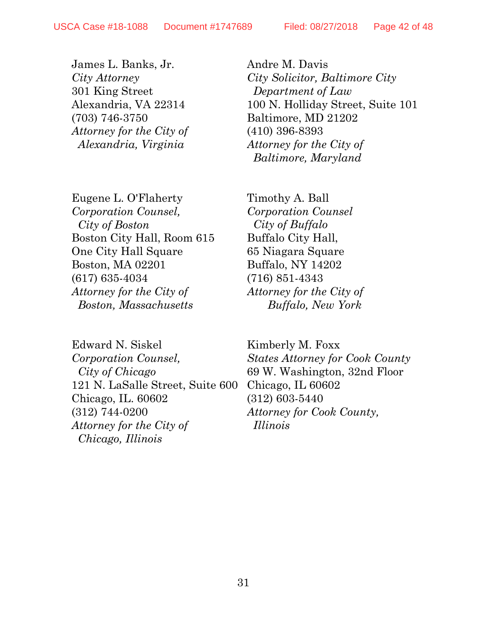James L. Banks, Jr. *City Attorney* 301 King Street Alexandria, VA 22314 (703) 746-3750 *Attorney for the City of Alexandria, Virginia*

Eugene L. O'Flaherty *Corporation Counsel, City of Boston* Boston City Hall, Room 615 One City Hall Square Boston, MA 02201 (617) 635-4034 *Attorney for the City of Boston, Massachusetts*

Edward N. Siskel *Corporation Counsel, City of Chicago* 121 N. LaSalle Street, Suite 600 Chicago, IL. 60602 (312) 744-0200 *Attorney for the City of Chicago, Illinois* 

Andre M. Davis *City Solicitor, Baltimore City Department of Law* 100 N. Holliday Street, Suite 101 Baltimore, MD 21202 (410) 396-8393 *Attorney for the City of Baltimore, Maryland*

Timothy A. Ball *Corporation Counsel City of Buffalo*  Buffalo City Hall, 65 Niagara Square Buffalo, NY 14202 (716) 851-4343 *Attorney for the City of Buffalo, New York*

Kimberly M. Foxx *States Attorney for Cook County* 69 W. Washington, 32nd Floor Chicago, IL 60602 [\(312\) 603-5440](tel:(312)%20603-5440) *Attorney for Cook County, Illinois*

31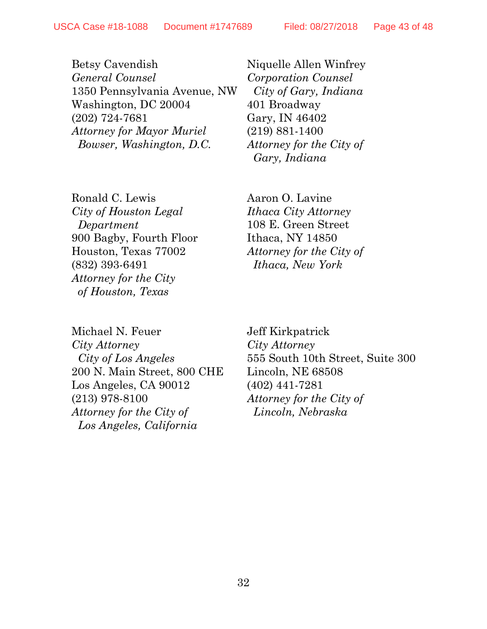Betsy Cavendish *General Counsel* 1350 Pennsylvania Avenue, NW Washington, DC 20004 (202) 724-7681 *Attorney for Mayor Muriel Bowser, Washington, D.C.* 

Ronald C. Lewis *City of Houston Legal Department* 900 Bagby, Fourth Floor Houston, Texas 77002 (832) 393-6491 *Attorney for the City of Houston, Texas*

Niquelle Allen Winfrey *Corporation Counsel City of Gary, Indiana* 401 Broadway Gary, IN 46402 (219) 881-1400 *Attorney for the City of Gary, Indiana*

Aaron O. Lavine *Ithaca City Attorney*  108 E. Green Street Ithaca, NY 14850 *Attorney for the City of Ithaca, New York* 

Michael N. Feuer *City Attorney City of Los Angeles* 200 N. Main Street, 800 CHE Los Angeles, CA 90012 (213) 978-8100 *Attorney for the City of Los Angeles, California*

Jeff Kirkpatrick *City Attorney* 555 South 10th Street, Suite 300 Lincoln, NE 68508 (402) 441-7281 *Attorney for the City of Lincoln, Nebraska*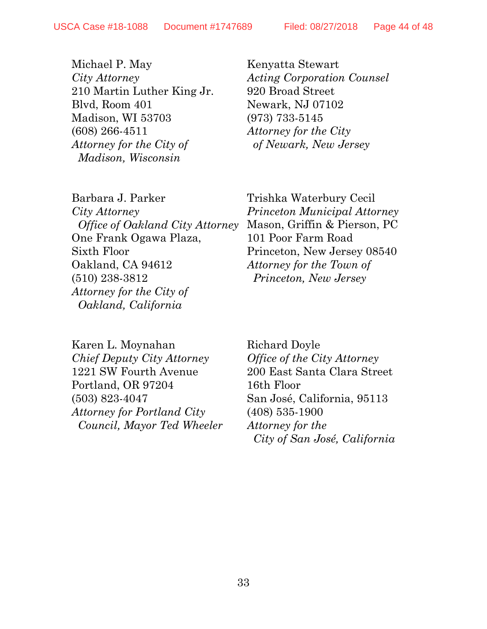Michael P. May *City Attorney* 210 Martin Luther King Jr. Blvd, Room 401 Madison, WI 53703 (608) 266-4511 *Attorney for the City of Madison, Wisconsin*

Kenyatta Stewart *Acting Corporation Counsel* 920 Broad Street Newark, NJ 07102 (973) 733-5145 *Attorney for the City of Newark, New Jersey*

Barbara J. Parker *City Attorney Office of Oakland City Attorney* One Frank Ogawa Plaza, Sixth Floor Oakland, CA 94612 (510) 238-3812 *Attorney for the City of Oakland, California*

Trishka Waterbury Cecil *Princeton Municipal Attorney*  Mason, Griffin & Pierson, PC 101 Poor Farm Road Princeton, New Jersey 08540 *Attorney for the Town of Princeton, New Jersey*

Karen L. Moynahan *Chief Deputy City Attorney* 1221 SW Fourth Avenue Portland, OR 97204 (503) 823-4047 *Attorney for Portland City Council, Mayor Ted Wheeler*

Richard Doyle *Office of the City Attorney* 200 East Santa Clara Street 16th Floor San José, California, 95113 (408) 535-1900 *Attorney for the City of San José, California*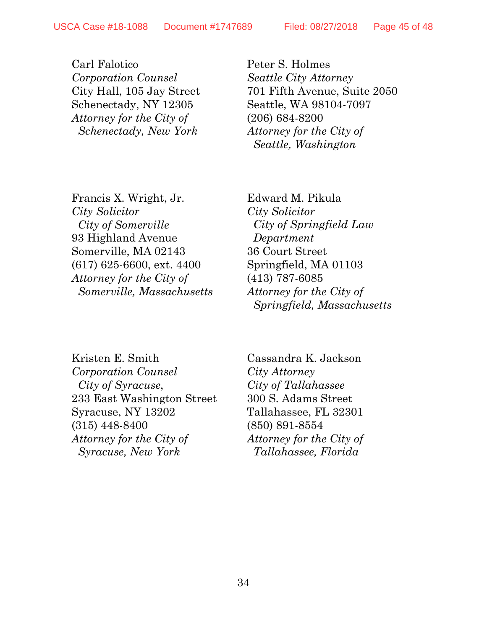Carl Falotico *Corporation Counsel*  City Hall, 105 Jay Street Schenectady, NY 12305 *Attorney for the City of Schenectady, New York*

Peter S. Holmes *Seattle City Attorney* 701 Fifth Avenue, Suite 2050 Seattle, WA 98104-7097 (206) 684-8200 *Attorney for the City of Seattle, Washington*

Francis X. Wright, Jr. *City Solicitor City of Somerville* 93 Highland Avenue Somerville, MA 02143 (617) 625-6600, ext. 4400 *Attorney for the City of Somerville, Massachusetts*

Edward M. Pikula *City Solicitor City of Springfield Law Department* 36 Court Street Springfield, MA 01103 (413) 787-6085 *Attorney for the City of Springfield, Massachusetts*

Kristen E. Smith *Corporation Counsel City of Syracuse*, 233 East Washington Street Syracuse, NY 13202 (315) 448-8400 *Attorney for the City of Syracuse, New York*

Cassandra K. Jackson *City Attorney City of Tallahassee*  300 S. Adams Street Tallahassee, FL 32301 (850) 891-8554 *Attorney for the City of Tallahassee, Florida*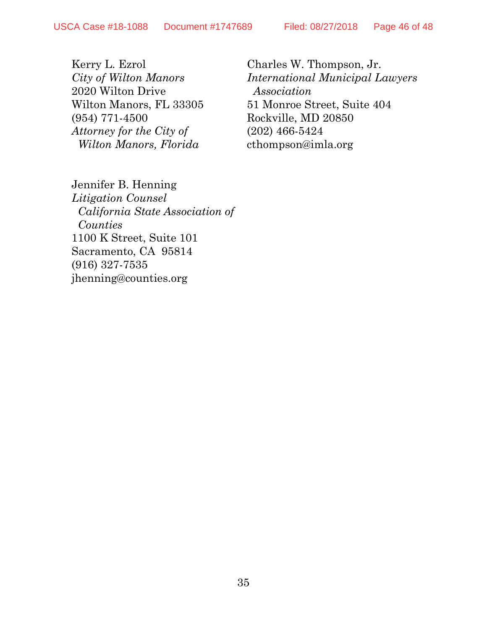Kerry L. Ezrol *City of Wilton Manors* 2020 Wilton Drive Wilton Manors, FL 33305 (954) 771-4500 *Attorney for the City of Wilton Manors, Florida*

Charles W. Thompson, Jr. *International Municipal Lawyers Association* 51 Monroe Street, Suite 404 Rockville, MD 20850 (202) 466-5424 [cthompson@imla.org](mailto:cthompson@imla.org)

Jennifer B. Henning

*Litigation Counsel California State Association of Counties* 1100 K Street, Suite 101 Sacramento, CA 95814 (916) 327-7535 [jhenning@counties.org](mailto:jhenning@counties.org)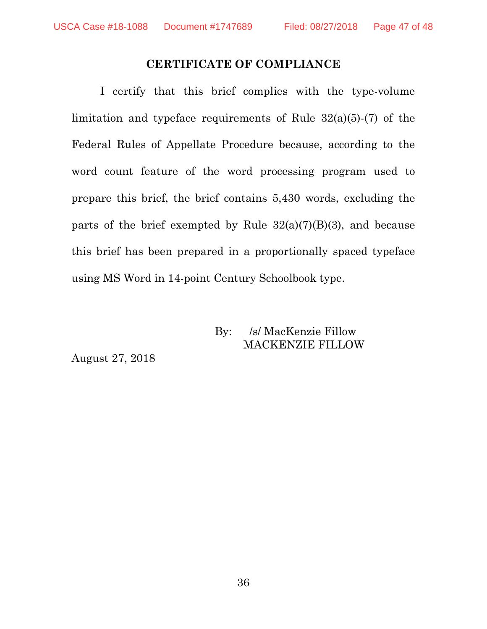#### **CERTIFICATE OF COMPLIANCE**

I certify that this brief complies with the type-volume limitation and typeface requirements of Rule 32(a)(5)-(7) of the Federal Rules of Appellate Procedure because, according to the word count feature of the word processing program used to prepare this brief, the brief contains 5,430 words, excluding the parts of the brief exempted by Rule  $32(a)(7)(B)(3)$ , and because this brief has been prepared in a proportionally spaced typeface using MS Word in 14-point Century Schoolbook type.

## By: /s/ MacKenzie Fillow MACKENZIE FILLOW

August 27, 2018